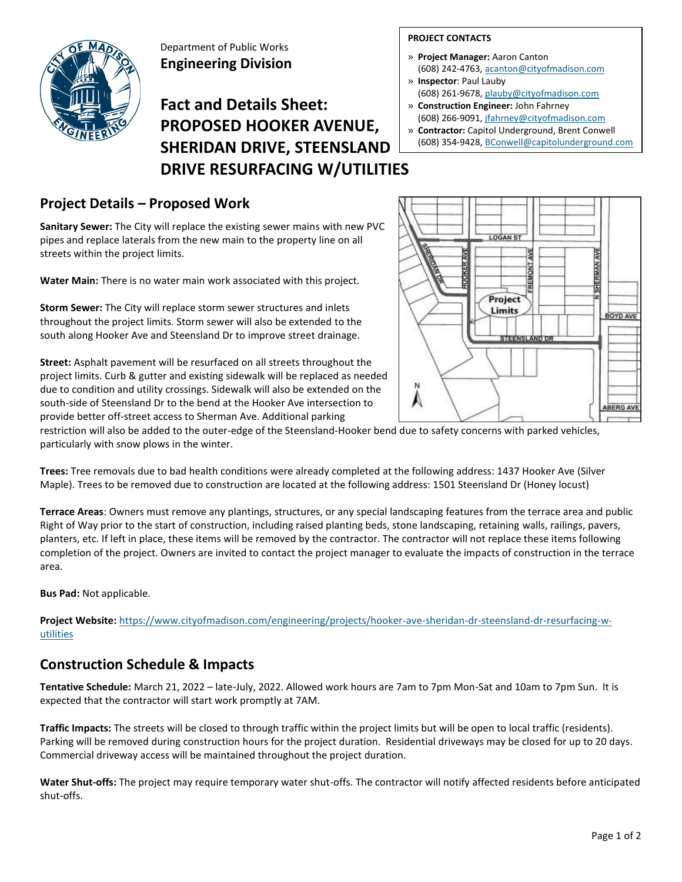

Department of Public Works **Engineering Division**

# **Fact and Details Sheet: PROPOSED HOOKER AVENUE, SHERIDAN DRIVE, STEENSLAND DRIVE RESURFACING W/UTILITIES**

## **Project Details – Proposed Work**

**Sanitary Sewer:** The City will replace the existing sewer mains with new PVC pipes and replace laterals from the new main to the property line on all streets within the project limits.

**Water Main:** There is no water main work associated with this project.

**Storm Sewer:** The City will replace storm sewer structures and inlets throughout the project limits. Storm sewer will also be extended to the south along Hooker Ave and Steensland Dr to improve street drainage.

**Street:** Asphalt pavement will be resurfaced on all streets throughout the project limits. Curb & gutter and existing sidewalk will be replaced as needed due to condition and utility crossings. Sidewalk will also be extended on the south-side of Steensland Dr to the bend at the Hooker Ave intersection to provide better off-street access to Sherman Ave. Additional parking

#### **PROJECT CONTACTS**

- » **Project Manager:** Aaron Canton (608) 242-4763[, acanton@cityofmadison.com](mailto:acanton@cityofmadison.com)
- » **Inspector**: Paul Lauby
- (608) 261-9678[, plauby@cityofmadison.com](mailto:plauby@cityofmadison.com)
- » **Construction Engineer:** John Fahrney (608) 266-9091, jfahrney@cityofmadison.com
- » **Contractor:** Capitol Underground, Brent Conwell (608) 354-9428, [BConwell@capitolunderground.com](mailto:BConwell@capitolunderground.com)



restriction will also be added to the outer-edge of the Steensland-Hooker bend due to safety concerns with parked vehicles, particularly with snow plows in the winter.

**Trees:** Tree removals due to bad health conditions were already completed at the following address: 1437 Hooker Ave (Silver Maple). Trees to be removed due to construction are located at the following address: 1501 Steensland Dr (Honey locust)

**Terrace Areas**: Owners must remove any plantings, structures, or any special landscaping features from the terrace area and public Right of Way prior to the start of construction, including raised planting beds, stone landscaping, retaining walls, railings, pavers, planters, etc. If left in place, these items will be removed by the contractor. The contractor will not replace these items following completion of the project. Owners are invited to contact the project manager to evaluate the impacts of construction in the terrace area.

**Bus Pad:** Not applicable.

**Project Website:** [https://www.cityofmadison.com/engineering/projects/hooker-ave-sheridan-dr-steensland-dr-resurfacing-w](https://www.cityofmadison.com/engineering/projects/hooker-ave-sheridan-dr-steensland-dr-resurfacing-w-utilities)[utilities](https://www.cityofmadison.com/engineering/projects/hooker-ave-sheridan-dr-steensland-dr-resurfacing-w-utilities)

### **Construction Schedule & Impacts**

**Tentative Schedule:** March 21, 2022 – late-July, 2022. Allowed work hours are 7am to 7pm Mon-Sat and 10am to 7pm Sun. It is expected that the contractor will start work promptly at 7AM.

**Traffic Impacts:** The streets will be closed to through traffic within the project limits but will be open to local traffic (residents). Parking will be removed during construction hours for the project duration. Residential driveways may be closed for up to 20 days. Commercial driveway access will be maintained throughout the project duration.

**Water Shut-offs:** The project may require temporary water shut-offs. The contractor will notify affected residents before anticipated shut-offs.